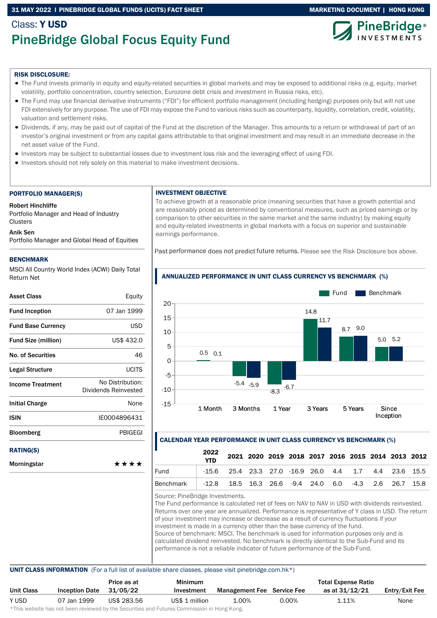# 31 MAY 2022 I PINEBRIDGE GLOBAL FUNDS (UCITS) FACT SHEET MARKETING DOCUMENT | HONG KONG

# Class: Y USD PineBridge Global Focus Equity Fund



#### RISK DISCLOSURE:

- The Fund invests primarily in equity and equity-related securities in global markets and may be exposed to additional risks (e.g. equity, market volatility, portfolio concentration, country selection, Eurozone debt crisis and investment in Russia risks, etc).
- The Fund may use financial derivative instruments ("FDI") for efficient portfolio management (including hedging) purposes only but will not use FDI extensively for any purpose. The use of FDI may expose the Fund to various risks such as counterparty, liquidity, correlation, credit, volatility, valuation and settlement risks.
- Dividends, if any, may be paid out of capital of the Fund at the discretion of the Manager. This amounts to a return or withdrawal of part of an investor's original investment or from any capital gains attributable to that original investment and may result in an immediate decrease in the net asset value of the Fund.
- Investors may be subject to substantial losses due to investment loss risk and the leveraging effect of using FDI.
- Investors should not rely solely on this material to make investment decisions.

#### PORTFOLIO MANAGER(S)

Robert Hinchliffe

Portfolio Manager and Head of Industry **Clusters** 

#### Anik Sen

Portfolio Manager and Global Head of Equities

#### BENCHMARK

MSCI All Country World Index (ACWI) Daily Total Return Net

| Asset Class                | Equity                                   |
|----------------------------|------------------------------------------|
| <b>Fund Inception</b>      | 07 Jan 1999                              |
| <b>Fund Base Currency</b>  | <b>USD</b>                               |
| <b>Fund Size (million)</b> | US\$ 432.0                               |
| <b>No. of Securities</b>   | 46                                       |
| Legal Structure            | UCITS                                    |
| <b>Income Treatment</b>    | No Distribution:<br>Dividends Reinvested |
| Initial Charge             | None                                     |
| ISIN                       | IE0004896431                             |
| <b>Bloomberg</b>           | <b>PBIGEGI</b>                           |
| <b>RATING(S)</b>           |                                          |
| Morningstar                | ****                                     |

#### INVESTMENT OBJECTIVE

To achieve growth at a reasonable price (meaning securities that have a growth potential and are reasonably priced as determined by conventional measures, such as priced earnings or by comparison to other securities in the same market and the same industry) by making equity and equity-related investments in global markets with a focus on superior and sustainable earnings performance.

Past performance does not predict future returns. Please see the Risk Disclosure box above.



# ANNUALIZED PERFORMANCE IN UNIT CLASS CURRENCY VS BENCHMARK (%)

## CALENDAR YEAR PERFORMANCE IN UNIT CLASS CURRENCY VS BENCHMARK (%)

|                                                                   | 2022 |                                                           |  | 2021 2020 2019 2018 2017 2016 2015 2014 2013 2012 |  |  |  |
|-------------------------------------------------------------------|------|-----------------------------------------------------------|--|---------------------------------------------------|--|--|--|
| Fund                                                              |      | $-15.6$ 25.4 23.3 27.0 $-16.9$ 26.0 4.4 1.7 4.4 23.6 15.5 |  |                                                   |  |  |  |
| Benchmark   -12.8 18.5 16.3 26.6 -9.4 24.0 6.0 -4.3 2.6 26.7 15.8 |      |                                                           |  |                                                   |  |  |  |

Source: PineBridge Investments.

The Fund performance is calculated net of fees on NAV to NAV in USD with dividends reinvested. Returns over one year are annualized. Performance is representative of Y class in USD. The return of your investment may increase or decrease as a result of currency fluctuations if your investment is made in a currency other than the base currency of the fund. Source of benchmark: MSCI. The benchmark is used for information purposes only and is calculated dividend reinvested. No benchmark is directly identical to the Sub-Fund and its performance is not a reliable indicator of future performance of the Sub-Fund.

## UNIT CLASS INFORMATION (For a full list of available share classes, please visit pinebridge.com.hk\*)

|            |                       | Price as at | <b>Minimum</b>                                                                                                 |                                   |          | <b>Total Expense Ratio</b> |                |
|------------|-----------------------|-------------|----------------------------------------------------------------------------------------------------------------|-----------------------------------|----------|----------------------------|----------------|
| Unit Class | <b>Inception Date</b> | 31/05/22    | Investment                                                                                                     | <b>Management Fee</b> Service Fee |          | as at 31/12/21             | Entry/Exit Fee |
| Y USD      | 07 Jan 1999           | US\$ 283.56 | US\$ 1 million                                                                                                 | 1.00%                             | $0.00\%$ | 1.11%                      | None           |
|            |                       |             | di∓bio confectivo bele celebracio contecceda bondia e Alexandria e esti Fontacio e Alexandrea funtita de Messo |                                   |          |                            |                |

\*This website has not been reviewed by the Securities and Futures Commission in Hong Kong.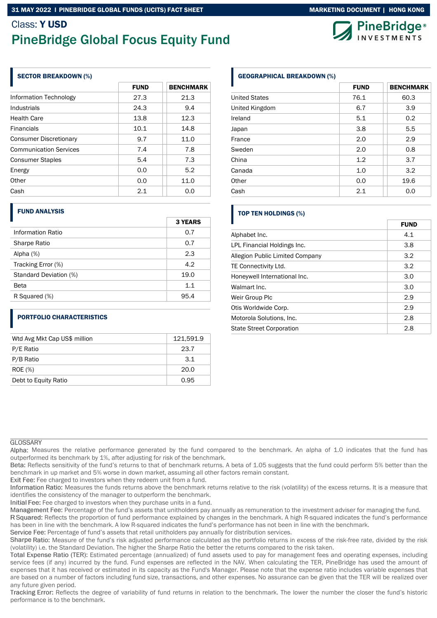# Class: Y USD PineBridge Global Focus Equity Fund

## SECTOR BREAKDOWN (%)

|                               | <b>FUND</b> | <b>BENCHMARK</b> |
|-------------------------------|-------------|------------------|
| Information Technology        | 27.3        | 21.3             |
| Industrials                   | 24.3        | 9.4              |
| <b>Health Care</b>            | 13.8        | 12.3             |
| <b>Financials</b>             | 10.1        | 14.8             |
| <b>Consumer Discretionary</b> | 9.7         | 11.0             |
| <b>Communication Services</b> | 7.4         | 7.8              |
| <b>Consumer Staples</b>       | 5.4         | 7.3              |
| Energy                        | 0.0         | 5.2              |
| Other                         | 0.0         | 11.0             |
| Cash                          | 2.1         | 0.0              |

### FUND ANALYSIS

|                        | <b>3 YEARS</b> |
|------------------------|----------------|
| Information Ratio      | 0.7            |
| Sharpe Ratio           | 0.7            |
| Alpha $(%)$            | 2.3            |
| Tracking Error (%)     | 4.2            |
| Standard Deviation (%) | 19.0           |
| Beta                   | 1.1            |
| R Squared (%)          | 95.4           |

# PORTFOLIO CHARACTERISTICS

| Wtd Avg Mkt Cap US\$ million | 121,591.9 |
|------------------------------|-----------|
| P/E Ratio                    | 23.7      |
| P/B Ratio                    | 3.1       |
| <b>ROE</b> (%)               | 20.0      |
| Debt to Equity Ratio         | 0.95      |

# GEOGRAPHICAL BREAKDOWN (%)

|                      | <b>FUND</b> | <b>BENCHMARK</b> |
|----------------------|-------------|------------------|
| <b>United States</b> | 76.1        | 60.3             |
| United Kingdom       | 6.7         | 3.9              |
| Ireland              | 5.1         | 0.2              |
| Japan                | 3.8         | 5.5              |
| France               | 2.0         | 2.9              |
| Sweden               | 2.0         | 0.8              |
| China                | 1.2         | 3.7              |
| Canada               | 1.0         | 3.2              |
| Other                | 0.0         | 19.6             |
| Cash                 | 2.1         | 0.0              |

# TOP TEN HOLDINGS (%)

|                                 | <b>FUND</b> |
|---------------------------------|-------------|
| Alphabet Inc.                   | 4.1         |
| LPL Financial Holdings Inc.     | 3.8         |
| Allegion Public Limited Company | 3.2         |
| TE Connectivity Ltd.            | 3.2         |
| Honeywell International Inc.    | 3.0         |
| Walmart Inc.                    | 3.0         |
| Weir Group Plc                  | 2.9         |
| Otis Worldwide Corp.            | 2.9         |
| Motorola Solutions, Inc.        | 2.8         |
| <b>State Street Corporation</b> | 2.8         |

### **GLOSSARY**

Alpha: Measures the relative performance generated by the fund compared to the benchmark. An alpha of 1.0 indicates that the fund has outperformed its benchmark by 1%, after adjusting for risk of the benchmark.

Beta: Reflects sensitivity of the fund's returns to that of benchmark returns. A beta of 1.05 suggests that the fund could perform 5% better than the benchmark in up market and 5% worse in down market, assuming all other factors remain constant.

Exit Fee: Fee charged to investors when they redeem unit from a fund.

Information Ratio: Measures the funds returns above the benchmark returns relative to the risk (volatility) of the excess returns. It is a measure that identifies the consistency of the manager to outperform the benchmark.

Initial Fee: Fee charged to investors when they purchase units in a fund.

Management Fee: Percentage of the fund's assets that unitholders pay annually as remuneration to the investment adviser for managing the fund.

R Squared: Reflects the proportion of fund performance explained by changes in the benchmark. A high R-squared indicates the fund's performance has been in line with the benchmark. A low R-squared indicates the fund's performance has not been in line with the benchmark.

Service Fee: Percentage of fund's assets that retail unitholders pay annually for distribution services.

Sharpe Ratio: Measure of the fund's risk adjusted performance calculated as the portfolio returns in excess of the risk-free rate, divided by the risk (volatility) i.e. the Standard Deviation. The higher the Sharpe Ratio the better the returns compared to the risk taken.

Total Expense Ratio (TER): Estimated percentage (annualized) of fund assets used to pay for management fees and operating expenses, including service fees (if any) incurred by the fund. Fund expenses are reflected in the NAV. When calculating the TER, PineBridge has used the amount of expenses that it has received or estimated in its capacity as the Fund's Manager. Please note that the expense ratio includes variable expenses that are based on a number of factors including fund size, transactions, and other expenses. No assurance can be given that the TER will be realized over any future given period.

Tracking Error: Reflects the degree of variability of fund returns in relation to the benchmark. The lower the number the closer the fund's historic performance is to the benchmark.